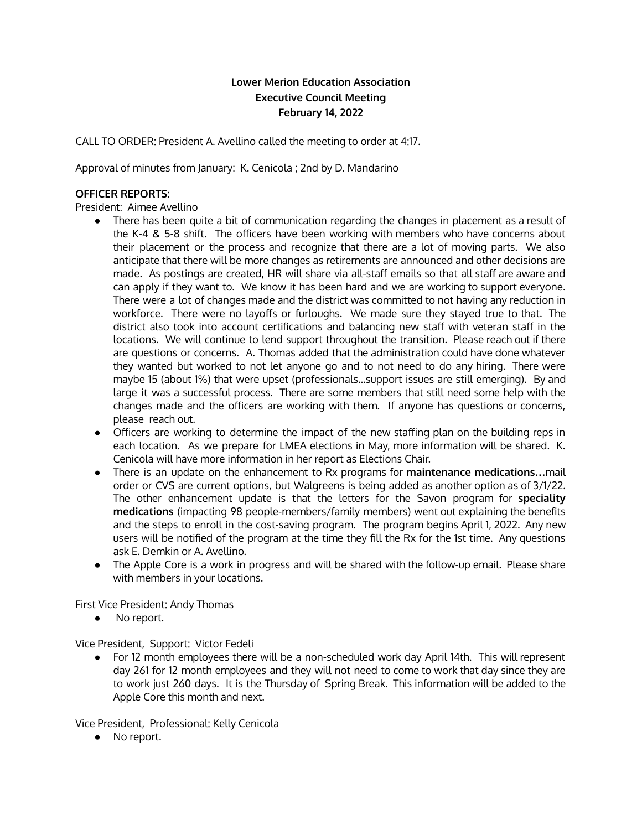# **Lower Merion Education Association Executive Council Meeting February 14, 2022**

CALL TO ORDER: President A. Avellino called the meeting to order at 4:17.

Approval of minutes from January: K. Cenicola ; 2nd by D. Mandarino

## **OFFICER REPORTS:**

President: Aimee Avellino

- There has been quite a bit of communication regarding the changes in placement as a result of the K-4 & 5-8 shift. The officers have been working with members who have concerns about their placement or the process and recognize that there are a lot of moving parts. We also anticipate that there will be more changes as retirements are announced and other decisions are made. As postings are created, HR will share via all-staff emails so that all staff are aware and can apply if they want to. We know it has been hard and we are working to support everyone. There were a lot of changes made and the district was committed to not having any reduction in workforce. There were no layoffs or furloughs. We made sure they stayed true to that. The district also took into account certifications and balancing new staff with veteran staff in the locations. We will continue to lend support throughout the transition. Please reach out if there are questions or concerns. A. Thomas added that the administration could have done whatever they wanted but worked to not let anyone go and to not need to do any hiring. There were maybe 15 (about 1%) that were upset (professionals…support issues are still emerging). By and large it was a successful process. There are some members that still need some help with the changes made and the officers are working with them. If anyone has questions or concerns, please reach out.
- Officers are working to determine the impact of the new staffing plan on the building reps in each location. As we prepare for LMEA elections in May, more information will be shared. K. Cenicola will have more information in her report as Elections Chair.
- There is an update on the enhancement to Rx programs for **maintenance medications…**mail order or CVS are current options, but Walgreens is being added as another option as of 3/1/22. The other enhancement update is that the letters for the Savon program for **speciality medications** (impacting 98 people-members/family members) went out explaining the benefits and the steps to enroll in the cost-saving program. The program begins April 1, 2022. Any new users will be notified of the program at the time they fill the Rx for the 1st time. Any questions ask E. Demkin or A. Avellino.
- The Apple Core is a work in progress and will be shared with the follow-up email. Please share with members in your locations.

First Vice President: Andy Thomas

● No report.

Vice President, Support: Victor Fedeli

● For 12 month employees there will be a non-scheduled work day April 14th. This will represent day 261 for 12 month employees and they will not need to come to work that day since they are to work just 260 days. It is the Thursday of Spring Break. This information will be added to the Apple Core this month and next.

Vice President, Professional: Kelly Cenicola

● No report.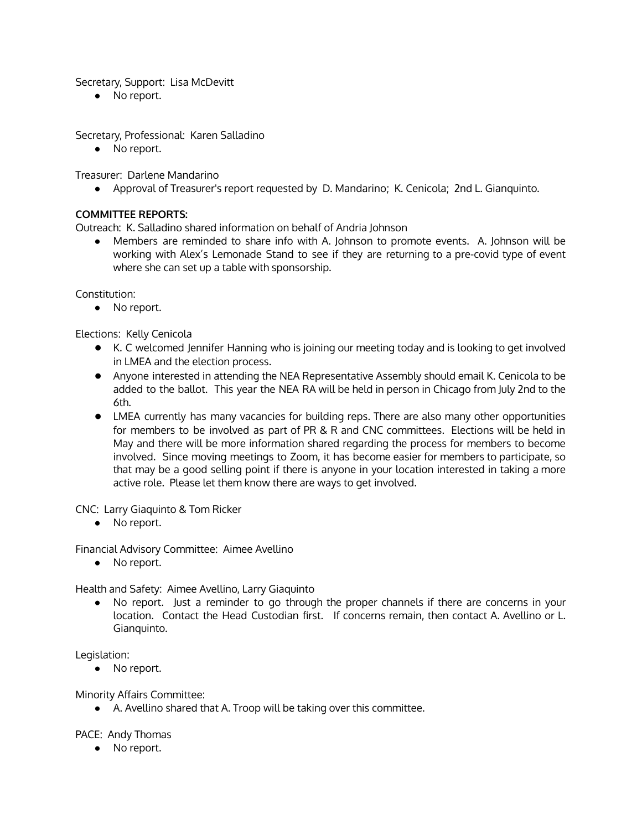Secretary, Support: Lisa McDevitt

● No report.

Secretary, Professional: Karen Salladino

● No report.

Treasurer: Darlene Mandarino

● Approval of Treasurer's report requested by D. Mandarino; K. Cenicola; 2nd L. Gianquinto.

### **COMMITTEE REPORTS:**

Outreach: K. Salladino shared information on behalf of Andria Johnson

● Members are reminded to share info with A. Johnson to promote events. A. Johnson will be working with Alex's Lemonade Stand to see if they are returning to a pre-covid type of event where she can set up a table with sponsorship.

Constitution:

• No report.

Elections: Kelly Cenicola

- K. C welcomed Jennifer Hanning who is joining our meeting today and is looking to get involved in LMEA and the election process.
- Anyone interested in attending the NEA Representative Assembly should email K. Cenicola to be added to the ballot. This year the NEA RA will be held in person in Chicago from July 2nd to the 6th.
- LMEA currently has many vacancies for building reps. There are also many other opportunities for members to be involved as part of PR & R and CNC committees. Elections will be held in May and there will be more information shared regarding the process for members to become involved. Since moving meetings to Zoom, it has become easier for members to participate, so that may be a good selling point if there is anyone in your location interested in taking a more active role. Please let them know there are ways to get involved.

CNC: Larry Giaquinto & Tom Ricker

• No report.

Financial Advisory Committee: Aimee Avellino

● No report.

Health and Safety: Aimee Avellino, Larry Giaquinto

● No report. Just a reminder to go through the proper channels if there are concerns in your location. Contact the Head Custodian first. If concerns remain, then contact A. Avellino or L. Gianquinto.

Legislation:

No report.

Minority Affairs Committee:

● A. Avellino shared that A. Troop will be taking over this committee.

PACE: Andy Thomas

● No report.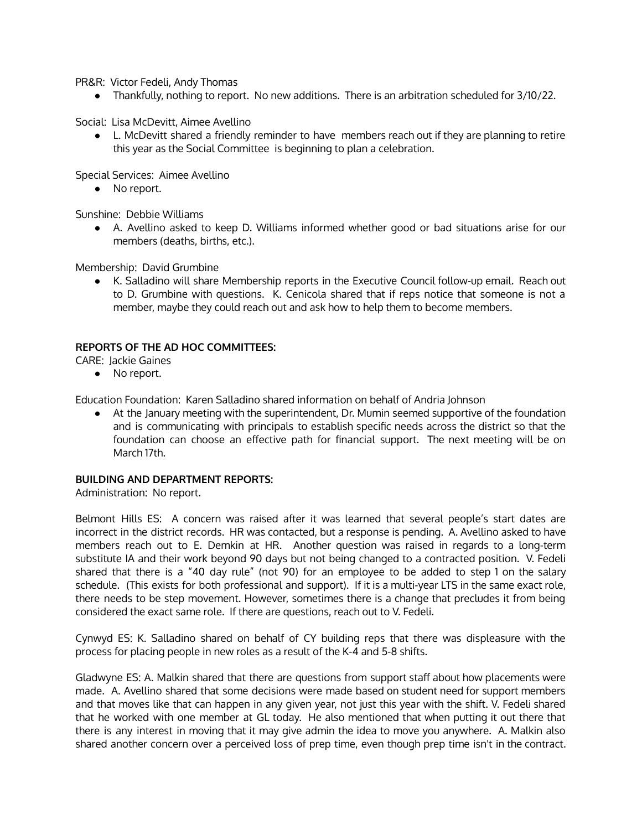PR&R: Victor Fedeli, Andy Thomas

● Thankfully, nothing to report. No new additions. There is an arbitration scheduled for 3/10/22.

Social: Lisa McDevitt, Aimee Avellino

● L. McDevitt shared a friendly reminder to have members reach out if they are planning to retire this year as the Social Committee is beginning to plan a celebration.

Special Services: Aimee Avellino

• No report.

Sunshine: Debbie Williams

● A. Avellino asked to keep D. Williams informed whether good or bad situations arise for our members (deaths, births, etc.).

Membership: David Grumbine

● K. Salladino will share Membership reports in the Executive Council follow-up email. Reach out to D. Grumbine with questions. K. Cenicola shared that if reps notice that someone is not a member, maybe they could reach out and ask how to help them to become members.

#### **REPORTS OF THE AD HOC COMMITTEES:**

CARE: Jackie Gaines

● No report.

Education Foundation: Karen Salladino shared information on behalf of Andria Johnson

• At the January meeting with the superintendent, Dr. Mumin seemed supportive of the foundation and is communicating with principals to establish specific needs across the district so that the foundation can choose an effective path for financial support. The next meeting will be on March 17th.

#### **BUILDING AND DEPARTMENT REPORTS:**

Administration: No report.

Belmont Hills ES: A concern was raised after it was learned that several people's start dates are incorrect in the district records. HR was contacted, but a response is pending. A. Avellino asked to have members reach out to E. Demkin at HR. Another question was raised in regards to a long-term substitute IA and their work beyond 90 days but not being changed to a contracted position. V. Fedeli shared that there is a "40 day rule" (not 90) for an employee to be added to step 1 on the salary schedule. (This exists for both professional and support). If it is a multi-year LTS in the same exact role, there needs to be step movement. However, sometimes there is a change that precludes it from being considered the exact same role. If there are questions, reach out to V. Fedeli.

Cynwyd ES: K. Salladino shared on behalf of CY building reps that there was displeasure with the process for placing people in new roles as a result of the K-4 and 5-8 shifts.

Gladwyne ES: A. Malkin shared that there are questions from support staff about how placements were made. A. Avellino shared that some decisions were made based on student need for support members and that moves like that can happen in any given year, not just this year with the shift. V. Fedeli shared that he worked with one member at GL today. He also mentioned that when putting it out there that there is any interest in moving that it may give admin the idea to move you anywhere. A. Malkin also shared another concern over a perceived loss of prep time, even though prep time isn't in the contract.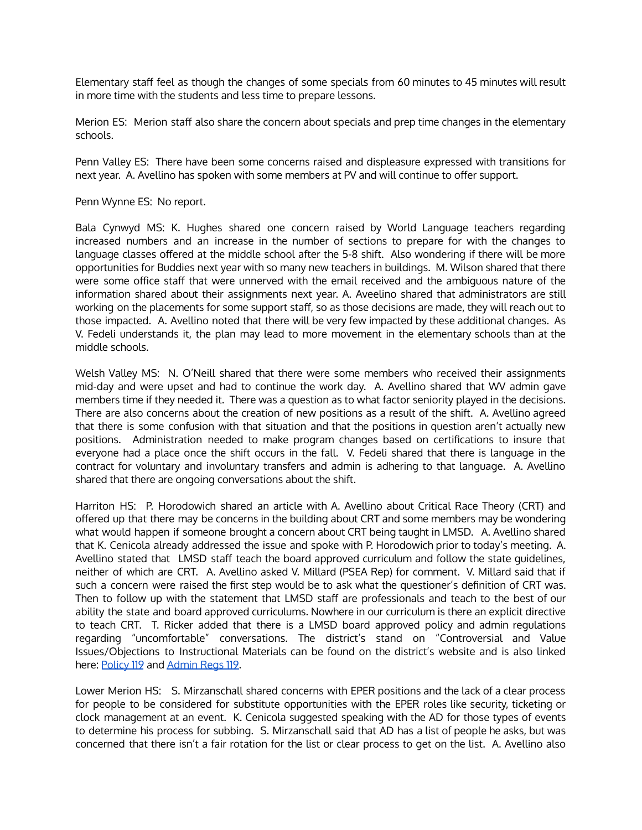Elementary staff feel as though the changes of some specials from 60 minutes to 45 minutes will result in more time with the students and less time to prepare lessons.

Merion ES: Merion staff also share the concern about specials and prep time changes in the elementary schools.

Penn Valley ES: There have been some concerns raised and displeasure expressed with transitions for next year. A. Avellino has spoken with some members at PV and will continue to offer support.

Penn Wynne ES: No report.

Bala Cynwyd MS: K. Hughes shared one concern raised by World Language teachers regarding increased numbers and an increase in the number of sections to prepare for with the changes to language classes offered at the middle school after the 5-8 shift. Also wondering if there will be more opportunities for Buddies next year with so many new teachers in buildings. M. Wilson shared that there were some office staff that were unnerved with the email received and the ambiguous nature of the information shared about their assignments next year. A. Aveelino shared that administrators are still working on the placements for some support staff, so as those decisions are made, they will reach out to those impacted. A. Avellino noted that there will be very few impacted by these additional changes. As V. Fedeli understands it, the plan may lead to more movement in the elementary schools than at the middle schools.

Welsh Valley MS: N. O'Neill shared that there were some members who received their assignments mid-day and were upset and had to continue the work day. A. Avellino shared that WV admin gave members time if they needed it. There was a question as to what factor seniority played in the decisions. There are also concerns about the creation of new positions as a result of the shift. A. Avellino agreed that there is some confusion with that situation and that the positions in question aren't actually new positions. Administration needed to make program changes based on certifications to insure that everyone had a place once the shift occurs in the fall. V. Fedeli shared that there is language in the contract for voluntary and involuntary transfers and admin is adhering to that language. A. Avellino shared that there are ongoing conversations about the shift.

Harriton HS: P. Horodowich shared an article with A. Avellino about Critical Race Theory (CRT) and offered up that there may be concerns in the building about CRT and some members may be wondering what would happen if someone brought a concern about CRT being taught in LMSD. A. Avellino shared that K. Cenicola already addressed the issue and spoke with P. Horodowich prior to today's meeting. A. Avellino stated that LMSD staff teach the board approved curriculum and follow the state guidelines, neither of which are CRT. A. Avellino asked V. Millard (PSEA Rep) for comment. V. Millard said that if such a concern were raised the first step would be to ask what the questioner's definition of CRT was. Then to follow up with the statement that LMSD staff are professionals and teach to the best of our ability the state and board approved curriculums. Nowhere in our curriculum is there an explicit directive to teach CRT. T. Ricker added that there is a LMSD board approved policy and admin regulations regarding "uncomfortable" conversations. The district's stand on "Controversial and Value Issues/Objections to Instructional Materials can be found on the district's website and is also linked here: [Policy](https://resources.finalsite.net/images/v1529686327/lmsdorg/lapu85askygktldhxl2c/Policy_P119.pdf) 119 and [Admin](https://resources.finalsite.net/images/v1529686337/lmsdorg/fnemczpvdigvn1s4l38i/Policy_AR119.pdf) Regs 119.

Lower Merion HS: S. Mirzanschall shared concerns with EPER positions and the lack of a clear process for people to be considered for substitute opportunities with the EPER roles like security, ticketing or clock management at an event. K. Cenicola suggested speaking with the AD for those types of events to determine his process for subbing. S. Mirzanschall said that AD has a list of people he asks, but was concerned that there isn't a fair rotation for the list or clear process to get on the list. A. Avellino also